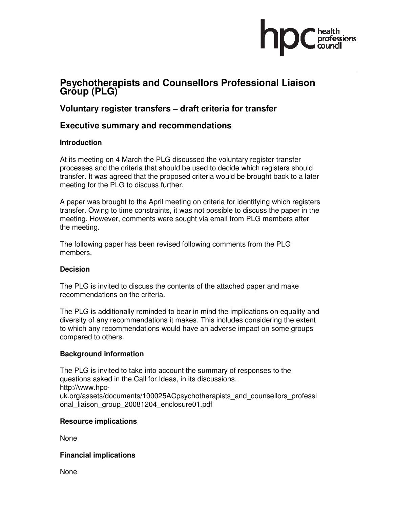

# **Psychotherapists and Counsellors Professional Liaison Group (PLG)**

## **Voluntary register transfers – draft criteria for transfer**

### **Executive summary and recommendations**

#### **Introduction**

At its meeting on 4 March the PLG discussed the voluntary register transfer processes and the criteria that should be used to decide which registers should transfer. It was agreed that the proposed criteria would be brought back to a later meeting for the PLG to discuss further.

A paper was brought to the April meeting on criteria for identifying which registers transfer. Owing to time constraints, it was not possible to discuss the paper in the meeting. However, comments were sought via email from PLG members after the meeting.

The following paper has been revised following comments from the PLG members.

#### **Decision**

The PLG is invited to discuss the contents of the attached paper and make recommendations on the criteria.

The PLG is additionally reminded to bear in mind the implications on equality and diversity of any recommendations it makes. This includes considering the extent to which any recommendations would have an adverse impact on some groups compared to others.

#### **Background information**

The PLG is invited to take into account the summary of responses to the questions asked in the Call for Ideas, in its discussions. http://www.hpcuk.org/assets/documents/100025ACpsychotherapists\_and\_counsellors\_professi onal liaison group 20081204 enclosure01.pdf

#### **Resource implications**

None

#### **Financial implications**

None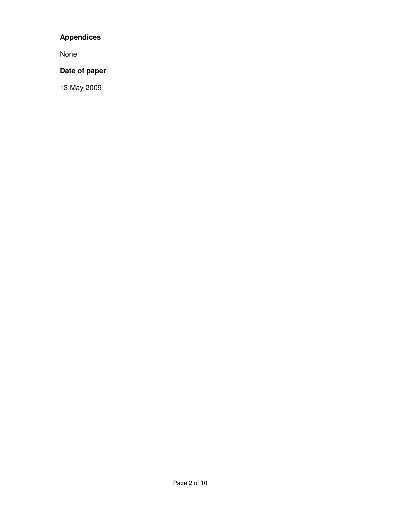# **Appendices**

None

### **Date of paper**

13 May 2009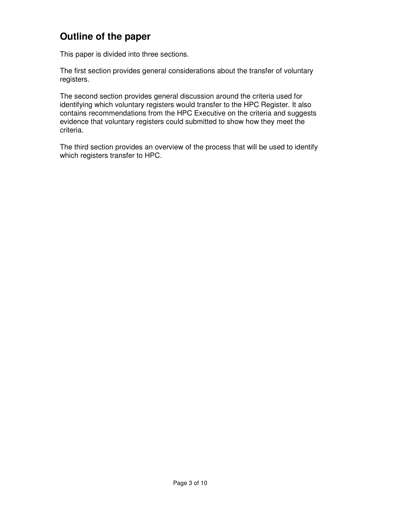# **Outline of the paper**

This paper is divided into three sections.

The first section provides general considerations about the transfer of voluntary registers.

The second section provides general discussion around the criteria used for identifying which voluntary registers would transfer to the HPC Register. It also contains recommendations from the HPC Executive on the criteria and suggests evidence that voluntary registers could submitted to show how they meet the criteria.

The third section provides an overview of the process that will be used to identify which registers transfer to HPC.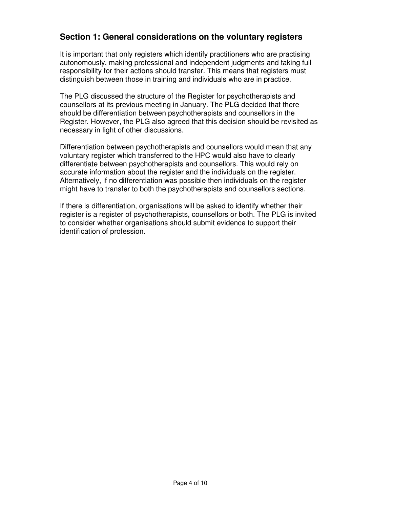## **Section 1: General considerations on the voluntary registers**

It is important that only registers which identify practitioners who are practising autonomously, making professional and independent judgments and taking full responsibility for their actions should transfer. This means that registers must distinguish between those in training and individuals who are in practice.

The PLG discussed the structure of the Register for psychotherapists and counsellors at its previous meeting in January. The PLG decided that there should be differentiation between psychotherapists and counsellors in the Register. However, the PLG also agreed that this decision should be revisited as necessary in light of other discussions.

Differentiation between psychotherapists and counsellors would mean that any voluntary register which transferred to the HPC would also have to clearly differentiate between psychotherapists and counsellors. This would rely on accurate information about the register and the individuals on the register. Alternatively, if no differentiation was possible then individuals on the register might have to transfer to both the psychotherapists and counsellors sections.

If there is differentiation, organisations will be asked to identify whether their register is a register of psychotherapists, counsellors or both. The PLG is invited to consider whether organisations should submit evidence to support their identification of profession.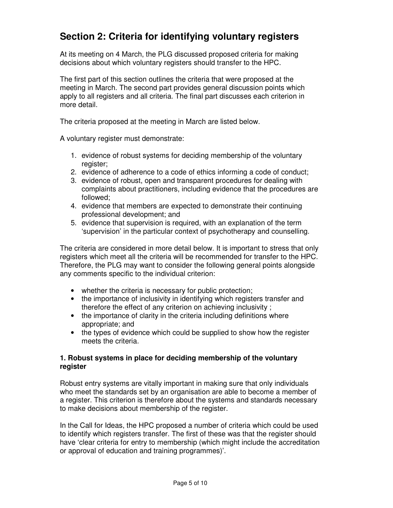# **Section 2: Criteria for identifying voluntary registers**

At its meeting on 4 March, the PLG discussed proposed criteria for making decisions about which voluntary registers should transfer to the HPC.

The first part of this section outlines the criteria that were proposed at the meeting in March. The second part provides general discussion points which apply to all registers and all criteria. The final part discusses each criterion in more detail.

The criteria proposed at the meeting in March are listed below.

A voluntary register must demonstrate:

- 1. evidence of robust systems for deciding membership of the voluntary register;
- 2. evidence of adherence to a code of ethics informing a code of conduct;
- 3. evidence of robust, open and transparent procedures for dealing with complaints about practitioners, including evidence that the procedures are followed;
- 4. evidence that members are expected to demonstrate their continuing professional development; and
- 5. evidence that supervision is required, with an explanation of the term 'supervision' in the particular context of psychotherapy and counselling.

The criteria are considered in more detail below. It is important to stress that only registers which meet all the criteria will be recommended for transfer to the HPC. Therefore, the PLG may want to consider the following general points alongside any comments specific to the individual criterion:

- whether the criteria is necessary for public protection;
- the importance of inclusivity in identifying which registers transfer and therefore the effect of any criterion on achieving inclusivity ;
- the importance of clarity in the criteria including definitions where appropriate; and
- the types of evidence which could be supplied to show how the register meets the criteria.

#### **1. Robust systems in place for deciding membership of the voluntary register**

Robust entry systems are vitally important in making sure that only individuals who meet the standards set by an organisation are able to become a member of a register. This criterion is therefore about the systems and standards necessary to make decisions about membership of the register.

In the Call for Ideas, the HPC proposed a number of criteria which could be used to identify which registers transfer. The first of these was that the register should have 'clear criteria for entry to membership (which might include the accreditation or approval of education and training programmes)'.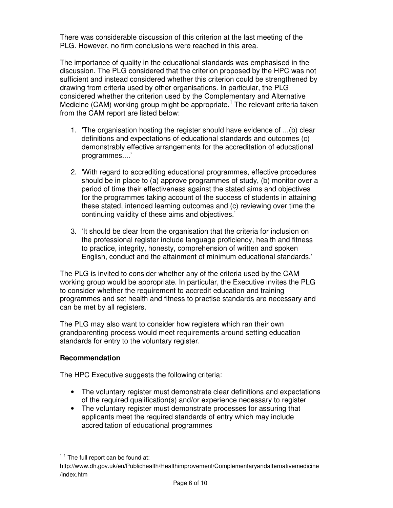There was considerable discussion of this criterion at the last meeting of the PLG. However, no firm conclusions were reached in this area.

The importance of quality in the educational standards was emphasised in the discussion. The PLG considered that the criterion proposed by the HPC was not sufficient and instead considered whether this criterion could be strengthened by drawing from criteria used by other organisations. In particular, the PLG considered whether the criterion used by the Complementary and Alternative Medicine (CAM) working group might be appropriate.<sup>1</sup> The relevant criteria taken from the CAM report are listed below:

- 1. 'The organisation hosting the register should have evidence of ...(b) clear definitions and expectations of educational standards and outcomes (c) demonstrably effective arrangements for the accreditation of educational programmes....'
- 2. 'With regard to accrediting educational programmes, effective procedures should be in place to (a) approve programmes of study, (b) monitor over a period of time their effectiveness against the stated aims and objectives for the programmes taking account of the success of students in attaining these stated, intended learning outcomes and (c) reviewing over time the continuing validity of these aims and objectives.'
- 3. 'It should be clear from the organisation that the criteria for inclusion on the professional register include language proficiency, health and fitness to practice, integrity, honesty, comprehension of written and spoken English, conduct and the attainment of minimum educational standards.'

The PLG is invited to consider whether any of the criteria used by the CAM working group would be appropriate. In particular, the Executive invites the PLG to consider whether the requirement to accredit education and training programmes and set health and fitness to practise standards are necessary and can be met by all registers.

The PLG may also want to consider how registers which ran their own grandparenting process would meet requirements around setting education standards for entry to the voluntary register.

### **Recommendation**

The HPC Executive suggests the following criteria:

- The voluntary register must demonstrate clear definitions and expectations of the required qualification(s) and/or experience necessary to register
- The voluntary register must demonstrate processes for assuring that applicants meet the required standards of entry which may include accreditation of educational programmes

-

 $11$  The full report can be found at:

http://www.dh.gov.uk/en/Publichealth/Healthimprovement/Complementaryandalternativemedicine /index.htm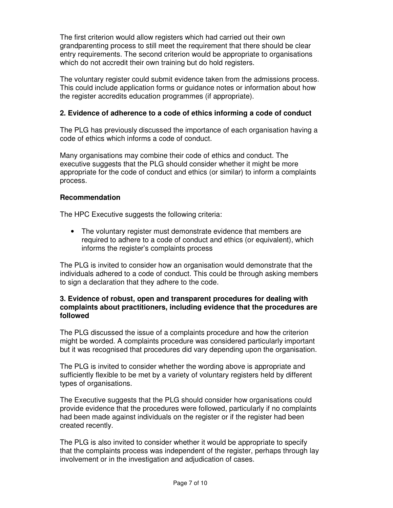The first criterion would allow registers which had carried out their own grandparenting process to still meet the requirement that there should be clear entry requirements. The second criterion would be appropriate to organisations which do not accredit their own training but do hold registers.

The voluntary register could submit evidence taken from the admissions process. This could include application forms or guidance notes or information about how the register accredits education programmes (if appropriate).

### **2. Evidence of adherence to a code of ethics informing a code of conduct**

The PLG has previously discussed the importance of each organisation having a code of ethics which informs a code of conduct.

Many organisations may combine their code of ethics and conduct. The executive suggests that the PLG should consider whether it might be more appropriate for the code of conduct and ethics (or similar) to inform a complaints process.

### **Recommendation**

The HPC Executive suggests the following criteria:

• The voluntary register must demonstrate evidence that members are required to adhere to a code of conduct and ethics (or equivalent), which informs the register's complaints process

The PLG is invited to consider how an organisation would demonstrate that the individuals adhered to a code of conduct. This could be through asking members to sign a declaration that they adhere to the code.

#### **3. Evidence of robust, open and transparent procedures for dealing with complaints about practitioners, including evidence that the procedures are followed**

The PLG discussed the issue of a complaints procedure and how the criterion might be worded. A complaints procedure was considered particularly important but it was recognised that procedures did vary depending upon the organisation.

The PLG is invited to consider whether the wording above is appropriate and sufficiently flexible to be met by a variety of voluntary registers held by different types of organisations.

The Executive suggests that the PLG should consider how organisations could provide evidence that the procedures were followed, particularly if no complaints had been made against individuals on the register or if the register had been created recently.

The PLG is also invited to consider whether it would be appropriate to specify that the complaints process was independent of the register, perhaps through lay involvement or in the investigation and adjudication of cases.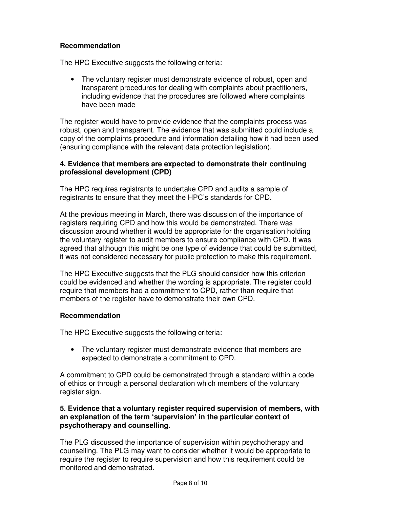#### **Recommendation**

The HPC Executive suggests the following criteria:

• The voluntary register must demonstrate evidence of robust, open and transparent procedures for dealing with complaints about practitioners, including evidence that the procedures are followed where complaints have been made

The register would have to provide evidence that the complaints process was robust, open and transparent. The evidence that was submitted could include a copy of the complaints procedure and information detailing how it had been used (ensuring compliance with the relevant data protection legislation).

#### **4. Evidence that members are expected to demonstrate their continuing professional development (CPD)**

The HPC requires registrants to undertake CPD and audits a sample of registrants to ensure that they meet the HPC's standards for CPD.

At the previous meeting in March, there was discussion of the importance of registers requiring CPD and how this would be demonstrated. There was discussion around whether it would be appropriate for the organisation holding the voluntary register to audit members to ensure compliance with CPD. It was agreed that although this might be one type of evidence that could be submitted, it was not considered necessary for public protection to make this requirement.

The HPC Executive suggests that the PLG should consider how this criterion could be evidenced and whether the wording is appropriate. The register could require that members had a commitment to CPD, rather than require that members of the register have to demonstrate their own CPD.

### **Recommendation**

The HPC Executive suggests the following criteria:

• The voluntary register must demonstrate evidence that members are expected to demonstrate a commitment to CPD.

A commitment to CPD could be demonstrated through a standard within a code of ethics or through a personal declaration which members of the voluntary register sign.

#### **5. Evidence that a voluntary register required supervision of members, with an explanation of the term 'supervision' in the particular context of psychotherapy and counselling.**

The PLG discussed the importance of supervision within psychotherapy and counselling. The PLG may want to consider whether it would be appropriate to require the register to require supervision and how this requirement could be monitored and demonstrated.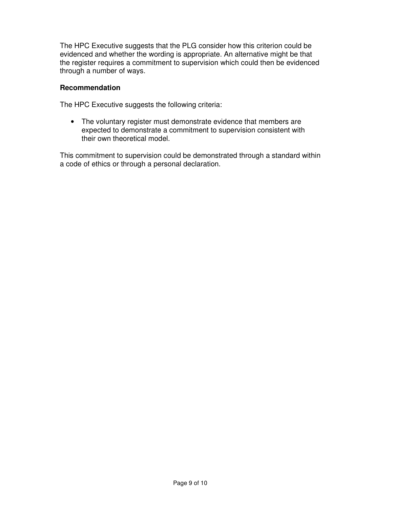The HPC Executive suggests that the PLG consider how this criterion could be evidenced and whether the wording is appropriate. An alternative might be that the register requires a commitment to supervision which could then be evidenced through a number of ways.

#### **Recommendation**

The HPC Executive suggests the following criteria:

• The voluntary register must demonstrate evidence that members are expected to demonstrate a commitment to supervision consistent with their own theoretical model.

This commitment to supervision could be demonstrated through a standard within a code of ethics or through a personal declaration.